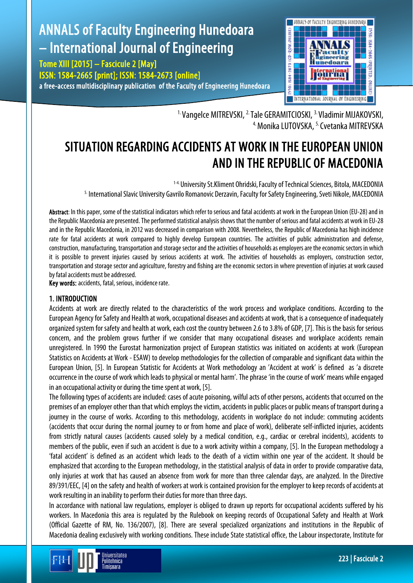# ANNALS of Faculty Engineering Hunedoara – International Journal of Engineering

Tome XIII [2015] – Fascicule 2 [May] ISSN: 1584-2665 [print]; ISSN: 1584-2673 [online] a free-access multidisciplinary publication of the Faculty of Engineering Hunedoara



<sup>1.</sup> Vangelce MITREVSKI, <sup>2.</sup> Tale GERAMITCIOSKI, <sup>3.</sup> Vladimir MIJAKOVSKI, 4. Monika LUTOVSKA, 5. Cvetanka MITREVSKA

# SITUATION REGARDING ACCIDENTS AT WORK IN THE EUROPEAN UNION AND IN THE REPUBLIC OF MACEDONIA

<sup>1-4.</sup> University St.Kliment Ohridski, Faculty of Technical Sciences, Bitola, MACEDONIA 5. International Slavic University Gavrilo Romanovic Derzavin, Faculty for Safety Engineering, Sveti Nikole, MACEDONIA

Abstract: In this paper, some of the statistical indicators which refer to serious and fatal accidents at work in the European Union (EU-28) and in the Republic Macedonia are presented. The performed statistical analysis shows that the number of serious and fatal accidents at work in EU-28 and in the Republic Macedonia, in 2012 was decreased in comparison with 2008. Nevertheless, the Republic of Macedonia has high incidence rate for fatal accidents at work compared to highly develop European countries. The activities of public administration and defense, construction, manufacturing, transportation and storage sector and the activities of households as employers are the economic sectors in which it is possible to prevent injuries caused by serious accidents at work. Тhe activities of households as employers, construction sector, transportation and storage sector and agriculture, forestry and fishing are the economic sectors in where prevention of injuries at work caused by fatal accidents must be addressed.

Key words: accidents, fatal, serious, incidence rate.

# 1. INTRODUCTION

Accidents at work are directly related to the characteristics of the work process and workplace conditions. According to the European Agency for Safety and Health at work, occupational diseases and accidents at work, that is a consequence of inadequately organized system for safety and health at work, each cost the country between 2.6 to 3.8% of GDP, [7]. This is the basis for serious concern, and the problem grows further if we consider that many occupational diseases and workplace accidents remain unregistered. In 1990 the Eurostat harmonization project of European statistics was initiated on accidents at work (European Statistics on Accidents at Work - ESAW) to develop methodologies for the collection of comparable and significant data within the European Union, [5]. In European Statistic for Accidents at Work methodology an 'Accident at work' is defined as 'a discrete occurrence in the course of work which leads to physical or mental harm'. The phrase 'in the course of work' means while engaged in an occupational activity or during the time spent at work, [5].

The following types of accidents are included: cases of acute poisoning, wilful acts of other persons, accidents that occurred on the premises of an employer other than that which employs the victim, accidents in public places or public means of transport during a journey in the course of works. According to this methodology, accidents in workplace do not include: commuting accidents (accidents that occur during the normal journey to or from home and place of work), deliberate self-inflicted injuries, accidents from strictly natural causes (accidents caused solely by a medical condition, e.g., cardiac or cerebral incidents), accidents to members of the public, even if such an accident is due to a work activity within a company, [5]. In the European methodology a 'fatal accident' is defined as an accident which leads to the death of a victim within one year of the accident. It should be emphasized that according to the European methodology, in the statistical analysis of data in order to provide comparative data, only injuries at work that has caused an absence from work for more than three calendar days, are analyzed. In the Directive 89/391/EEC, [4] on the safety and health of workers at work is contained provision for the employer to keep records of accidents at work resulting in an inability to perform their duties for more than three days.

In accordance with national law regulations, employer is obliged to drawn up reports for occupational accidents suffered by his workers. In Macedonia this area is regulated by the Rulebook on keeping records of Occupational Safety and Health at Work (Official Gazette of RM, No. 136/2007), [8]. There are several specialized organizations and institutions in the Republic of Macedonia dealing exclusively with working conditions. These include State statistical office, the Labour inspectorate, Institute for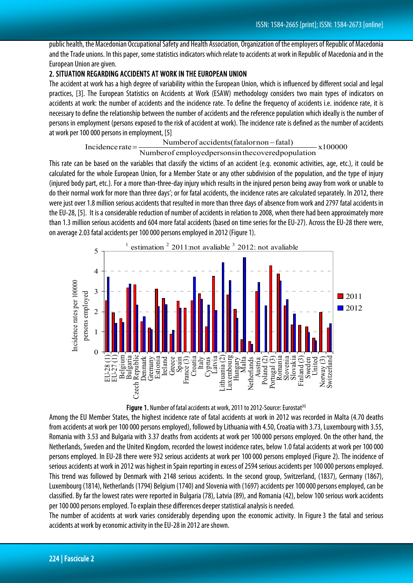public health, the Macedonian Occupational Safety and Health Association, Organization of the employers of Republic of Macedonia and the Trade unions. In this paper, some statistics indicators which relate to accidents at work in Republic of Macedonia and in the European Union are given.

# 2. SITUATION REGARDING ACCIDENTS AT WORK IN THE EUROPEAN UNION

The accident at work has a high degree of variability within the European Union, which is influenced by different social and legal practices, [3]. The European Statistics on Accidents at Work (ESAW) methodology considers two main types of indicators on accidents at work: the number of accidents and the incidence rate. To define the frequency of accidents i.e. incidence rate, it is necessary to define the relationship between the number of accidents and the reference population which ideally is the number of persons in employment (persons exposed to the risk of accident at work). The incidence rate is defined as the number of accidents at work per 100 000 persons in employment, [5]

x100000 Numberof employedpersonsinthecoveredpopulation  $Incidence rate = \frac{Numberof accidents(fatalor non-fatal)}{N}$ 

This rate can be based on the variables that classify the victims of an accident (e.g. economic activities, age, etc.), it could be calculated for the whole European Union, for a Member State or any other subdivision of the population, and the type of injury (injured body part, etc.). For a more than-three-day injury which results in the injured person being away from work or unable to do their normal work for more than three days'; or for fatal accidents, the incidence rates are calculated separately. In 2012, there were just over 1.8 million serious accidents that resulted in more than three days of absence from work and 2797 fatal accidents in the EU-28, [5]. It is a considerable reduction of number of accidents in relation to 2008, when there had been approximately more than 1.3 million serious accidents and 604 more fatal accidents (based on time series for the EU-27). Across the EU-28 there were, on average 2.03 fatal accidents per 100 000 persons employed in 2012 (Figure 1).





Among the EU Member States, the highest incidence rate of fatal accidents at work in 2012 was recorded in Malta (4.70 deaths from accidents at work per 100000 persons employed), followed by Lithuania with 4.50, Croatia with 3.73, Luxembourg with 3.55, Romania with 3.53 and Bulgaria with 3.37 deaths from accidents at work per 100000 persons employed. On the other hand, the Netherlands, Sweden and the United Kingdom, recorded the lowest incidence rates, below 1.0 fatal accidents at work per 100 000 persons employed. In EU-28 there were 932 serious accidents at work per 100000 persons employed (Figure 2). The incidence of serious accidents at work in 2012 was highest in Spain reporting in excess of 2594 serious accidents per 100000 persons employed. This trend was followed by Denmark with 2148 serious accidents. In the second group, Switzerland, (1837), Germany (1867), Luxembourg (1814), Netherlands (1794) Belgium (1740) and Slovenia with (1697) accidents per 100000 persons employed, can be classified. By far the lowest rates were reported in Bulgaria (78), Latvia (89), and Romania (42), below 100 serious work accidents per 100000 persons employed. To explain these differences deeper statistical analysis is needed.

The number of accidents at work varies considerably depending upon the economic activity. In Figure3 the fatal and serious accidents at work by economic activity in the EU-28 in 2012 are shown.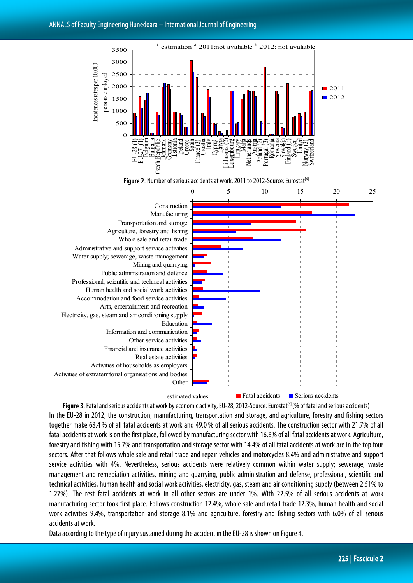

Figure 3. Fatal and serious accidents at work by economic activity, EU-28, 2012-Source: Eurostat<sup>[6]</sup> (% of fatal and serious accidents) In the EU-28 in 2012, the construction, manufacturing, transportation and storage, and agriculture, forestry and fishing sectors together make 68.4% of all fatal accidents at work and 49.0% of all serious accidents. The construction sector with 21.7% of all fatal accidents at work is on the first place, followed by manufacturing sector with 16.6% of all fatal accidents at work. Agriculture, forestry and fishing with 15.7% and transportation and storage sector with 14.4% of all fatal accidents at work are in the top four sectors. After that follows whole sale and retail trade and repair vehicles and motorcycles 8.4% and administrative and support service activities with 4%. Nevertheless, serious accidents were relatively common within water supply; sewerage, waste management and remediation activities, mining and quarrying, public administration and defense, professional, scientific and technical activities, human health and social work activities, electricity, gas, steam and air conditioning supply (between 2.51% to 1.27%). The rest fatal accidents at work in all other sectors are under 1%. With 22.5% of all serious accidents at work manufacturing sector took first place. Follows construction 12.4%, whole sale and retail trade 12.3%, human health and social work activities 9.4%, transportation and storage 8.1% and agriculture, forestry and fishing sectors with 6.0% of all serious accidents at work.

Data according to the type of injury sustained during the accident in the EU-28 is shown on Figure 4.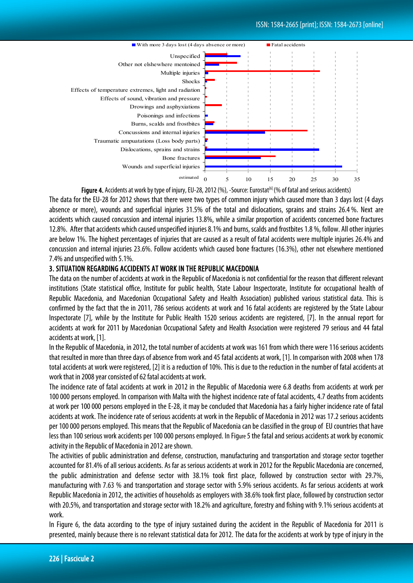

Figure 4. Accidents at work by type of injury, EU-28, 2012 (%), -Source: Eurostat<sup>[6]</sup> (% of fatal and serious accidents)

The data for the EU-28 for 2012 shows that there were two types of common injury which caused more than 3 days lost (4 days absence or more), wounds and superficial injuries 31.5% of the total and dislocations, sprains and strains 26.4%. Next are accidents which caused concussion and internal injuries 13.8%, while a similar proportion of accidents concerned bone fractures 12.8%. After that accidents which caused unspecified injuries 8.1% and burns, scalds and frostbites 1.8 %, follow. All other injuries are below 1%. The highest percentages of injuries that are caused as a result of fatal accidents were multiple injuries 26.4% and concussion and internal injuries 23.6%. Follow accidents which caused bone fractures (16.3%), other not elsewhere mentioned 7.4% and unspecified with 5.1%.

### 3. SITUATION REGARDING ACCIDENTS AT WORK IN THE REPUBLIC MACEDONIA

The data on the number of accidents at work in the Republic of Macedonia is not confidential for the reason that different relevant institutions (State statistical office, Institute for public health, State Labour Inspectorate, Institute for occupational health of Republic Macedonia, and Macedonian Occupational Safety and Health Association) published various statistical data. This is confirmed by the fact that the in 2011, 786 serious accidents at work and 16 fatal accidents are registered by the State Labour Inspectorate [7], while by the Institute for Public Health 1520 serious accidents are registered, [7]. In the annual report for accidents at work for 2011 by Macedonian Occupational Safety and Health Association were registered 79 serious and 44 fatal accidents at work, [1].

In the Republic of Macedonia, in 2012, the total number of accidents at work was 161 from which there were 116 serious accidents that resulted in more than three days of absence from work and 45 fatal accidents at work, [1]. In comparison with 2008 when 178 total accidents at work were registered, [2] it is a reduction of 10%. This is due to the reduction in the number of fatal accidents at work that in 2008 year consisted of 62 fatal accidents at work.

The incidence rate of fatal accidents at work in 2012 in the Republic of Macedonia were 6.8 deaths from accidents at work per 100000 persons employed. In comparison with Malta with the highest incidence rate of fatal accidents, 4.7 deaths from accidents at work per 100000 persons employed in the E-28, it may be concluded that Macedonia has a fairly higher incidence rate of fatal accidents at work. The incidence rate of serious accidents at work in the Republic of Macedonia in 2012 was 17.2 serious accidents per 100000 persons employed. This means that the Republic of Macedonia can be classified in the group of EU countries that have less than 100 serious work accidents per 100000 persons employed. In Figure 5 the fatal and serious accidents at work by economic activity in the Republic of Macedonia in 2012 are shown.

The activities of public administration and defense, construction, manufacturing and transportation and storage sector together accounted for 81.4% of all serious accidents. As far as serious accidents at work in 2012 for the Republic Macedonia are concerned, the public administration and defense sector with 38.1% took first place, followed by construction sector with 29.7%, manufacturing with 7.63 % and transportation and storage sector with 5.9% serious accidents. As far serious accidents at work Republic Macedonia in 2012, the activities of households as employers with 38.6% took first place, followed by construction sector with 20.5%, and transportation and storage sector with 18.2% and agriculture, forestry and fishing with 9.1% serious accidents at work.

In Figure 6, the data according to the type of injury sustained during the accident in the Republic of Macedonia for 2011 is presented, mainly because there is no relevant statistical data for 2012. The data for the accidents at work by type of injury in the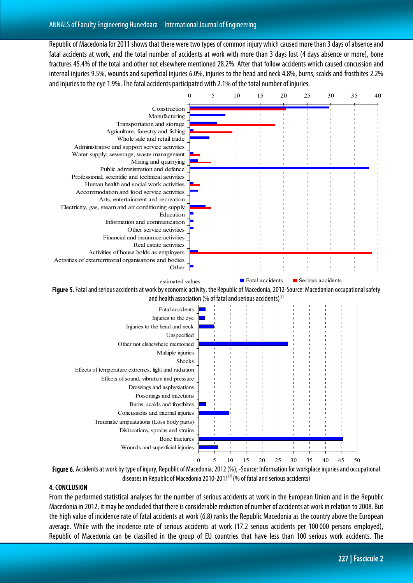Republic of Macedonia for 2011 shows that there were two types of common injury which caused more than 3 days of absence and fatal accidents at work, and the total number of accidents at work with more than 3 days lost (4 days absence or more), bone fractures 45.4% of the total and other not elsewhere mentioned 28.2%. After that follow accidents which caused concussion and internal injuries 9.5%, wounds and superficial injuries 6.0%, injuries to the head and neck 4.8%, burns, scalds and frostbites 2.2% and injuries to the eye 1.9%. The fatal accidents participated with 2.1% of the total number of injuries.



diseases in Republic of Macedonia 2010-2011[7] (% of fatal and serious accidents)

#### 4. CONCLUSION

From the performed statistical analyses for the number of serious accidents at work in the European Union and in the Republic Macedonia in 2012, it may be concluded that there is considerable reduction of number of accidents at work in relation to 2008. But the high value of incidence rate of fatal accidents at work (6.8) ranks the Republic Macedonia as the country above the European average. While with the incidence rate of serious accidents at work (17.2 serious accidents per 100000 persons employed), Republic of Macedonia can be classified in the group of EU countries that have less than 100 serious work accidents. The